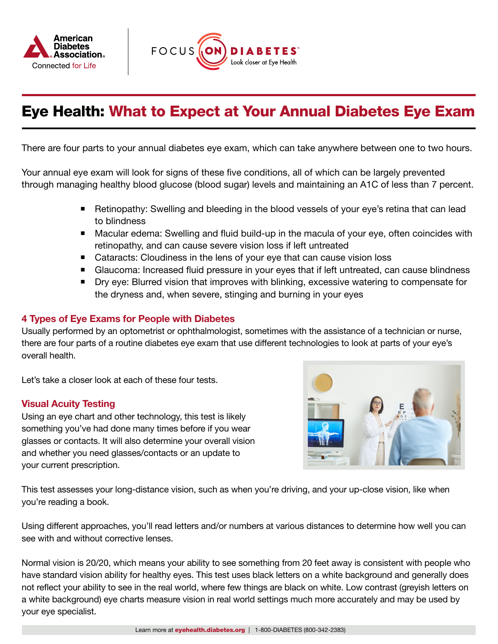



# Eye Health: What to Expect at Your Annual Diabetes Eye Exam

There are four parts to your annual diabetes eye exam, which can take anywhere between one to two hours.

Your annual eye exam will look for signs of these five conditions, all of which can be largely prevented through managing healthy blood glucose (blood sugar) levels and maintaining an A1C of less than 7 percent.

- Retinopathy: Swelling and bleeding in the blood vessels of your eye's retina that can lead to blindness
- Macular edema: Swelling and fluid build-up in the macula of your eye, often coincides with retinopathy, and can cause severe vision loss if left untreated
- Cataracts: Cloudiness in the lens of your eye that can cause vision loss
- Glaucoma: Increased fluid pressure in your eyes that if left untreated, can cause blindness
- **Dry eye: Blurred vision that improves with blinking, excessive watering to compensate for** the dryness and, when severe, stinging and burning in your eyes

## 4 Types of Eye Exams for People with Diabetes

Usually performed by an optometrist or ophthalmologist, sometimes with the assistance of a technician or nurse, there are four parts of a routine diabetes eye exam that use different technologies to look at parts of your eye's overall health.

Let's take a closer look at each of these four tests.

#### Visual Acuity Testing

Using an eye chart and other technology, this test is likely something you've had done many times before if you wear glasses or contacts. It will also determine your overall vision and whether you need glasses/contacts or an update to your current prescription.



This test assesses your long-distance vision, such as when you're driving, and your up-close vision, like when you're reading a book.

Using different approaches, you'll read letters and/or numbers at various distances to determine how well you can see with and without corrective lenses.

Normal vision is 20/20, which means your ability to see something from 20 feet away is consistent with people who have standard vision ability for healthy eyes. This test uses black letters on a white background and generally does not reflect your ability to see in the real world, where few things are black on white. Low contrast (greyish letters on a white background) eye charts measure vision in real world settings much more accurately and may be used by your eye specialist.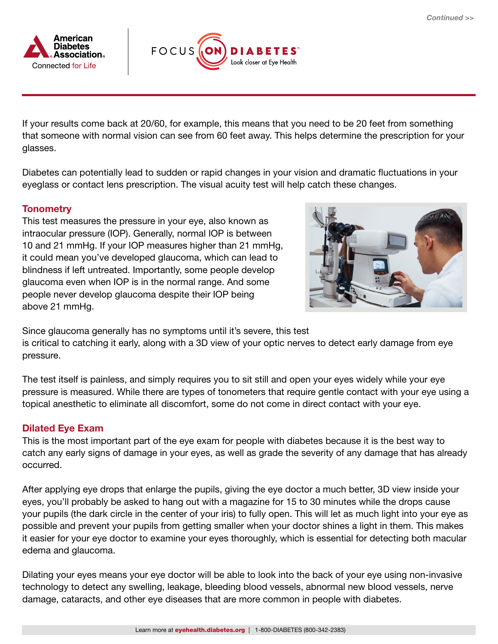



If your results come back at 20/60, for example, this means that you need to be 20 feet from something that someone with normal vision can see from 60 feet away. This helps determine the prescription for your glasses.

Diabetes can potentially lead to sudden or rapid changes in your vision and dramatic fluctuations in your eyeglass or contact lens prescription. The visual acuity test will help catch these changes.

### **Tonometry**

This test measures the pressure in your eye, also known as intraocular pressure (IOP). Generally, normal IOP is between 10 and 21 mmHg. If your IOP measures higher than 21 mmHg, it could mean you've developed glaucoma, which can lead to blindness if left untreated. Importantly, some people develop glaucoma even when IOP is in the normal range. And some people never develop glaucoma despite their IOP being above 21 mmHg.



Since glaucoma generally has no symptoms until it's severe, this test is critical to catching it early, along with a 3D view of your optic nerves to detect early damage from eye pressure.

The test itself is painless, and simply requires you to sit still and open your eyes widely while your eye pressure is measured. While there are types of tonometers that require gentle contact with your eye using a topical anesthetic to eliminate all discomfort, some do not come in direct contact with your eye.

### Dilated Eye Exam

This is the most important part of the eye exam for people with diabetes because it is the best way to catch any early signs of damage in your eyes, as well as grade the severity of any damage that has already occurred.

After applying eye drops that enlarge the pupils, giving the eye doctor a much better, 3D view inside your eyes, you'll probably be asked to hang out with a magazine for 15 to 30 minutes while the drops cause your pupils (the dark circle in the center of your iris) to fully open. This will let as much light into your eye as possible and prevent your pupils from getting smaller when your doctor shines a light in them. This makes it easier for your eye doctor to examine your eyes thoroughly, which is essential for detecting both macular edema and glaucoma.

Dilating your eyes means your eye doctor will be able to look into the back of your eye using non-invasive technology to detect any swelling, leakage, bleeding blood vessels, abnormal new blood vessels, nerve damage, cataracts, and other eye diseases that are more common in people with diabetes.